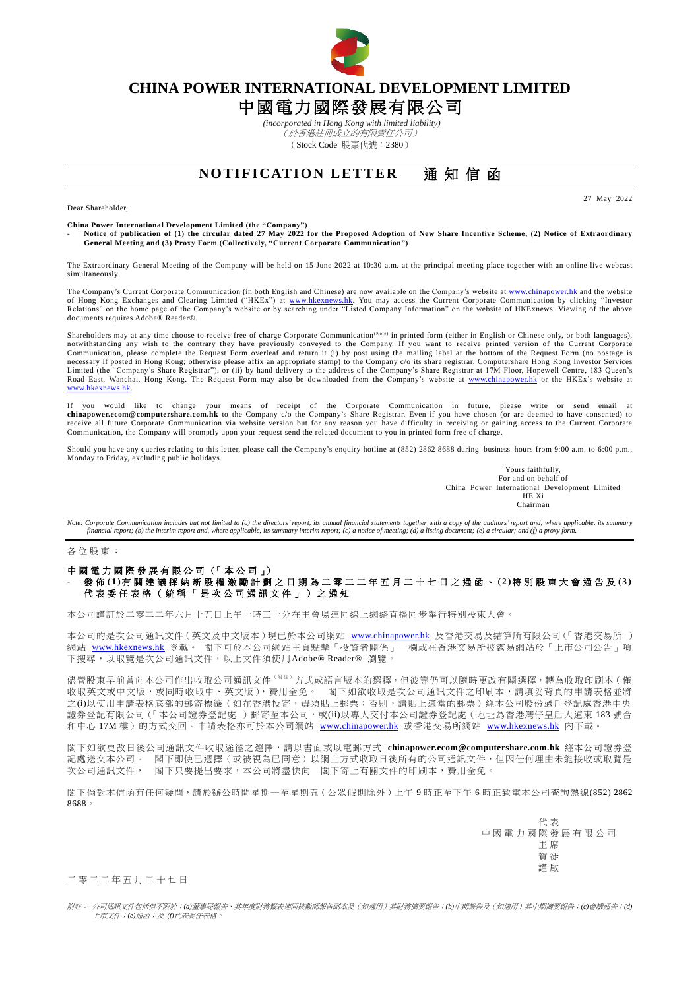

## **CHINA POWER INTERNATIONAL DEVELOPMENT LIMITED** 中國電力國際發展有限公司

*(incorporated in Hong Kong with limited liability)* (於香港註冊成立的有限責任公司) (Stock Code 股票代號:2380)

## **NOTIFICATION LETTER** 通知信函

Dear Shareholder,

27 May 2022

**China Power International Development Limited (the "Company")** - **Notice of publication of (1) the circular dated 27 May 2022 for the Proposed Adoption of New Share Incentive Scheme, (2) Notice of Extraordinary General Meeting and (3) Proxy Form (Collectively, "Current Corporate Communication")**

The Extraordinary General Meeting of the Company will be held on 15 June 2022 at 10:30 a.m. at the principal meeting place together with an online live webcast simultaneously.

The Company's Current Corporate Communication (in both English and Chinese) are now available on the Company's website a[t www.chinapower.hk](http://www.chinapower.hk/) and the website of Hong Kong Exchanges and Clearing Limited ("HKEx") at [www.hkexnews.hk.](http://www.hkexnews.hk/) You may access the Current Corporate Communication by clicking "Investor<br>Relations" on the home page of the Company's website or by searching under " documents requires Adobe® Reader®.

Shareholders may at any time choose to receive free of charge Corporate Communication<sup>(Note)</sup> in printed form (either in English or Chinese only, or both languages), notwithstanding any wish to the contrary they have previously conveyed to the Company. If you want to receive printed version of the Current Corporate<br>Communication, please complete the Request Form overleaf and return it necessary if posted in Hong Kong; otherwise please affix an appropriate stamp) to the Company c/o its share registrar, Computershare Hong Kong Investor Services Limited (the "Company's Share Registrar"), or (ii) by hand delivery to the address of the Company's Share Registrar at 17M Floor, Hopewell Centre, 183 Queen's<br>Road East, Wanchai, Hong Kong. The Request Form may also be dow [www.hkexnews.hk.](http://www.hkexnews.hk/)

If you would like to change your means of receipt of the Corporate Communication in future, please write or send email at [chinapower.ecom@computershare.com.hk](mailto:chinapower.ecom@computershare.com.hk) to the Company c/o the Company's Share Registrar. Even if you have chosen (or are deemed to have consented) to<br>receive all future Corporate Communication via website version but for any Communication, the Company will promptly upon your request send the related document to you in printed form free of charge.

Should you have any queries relating to this letter, please call the Company's enquiry hotline at (852) 2862 8688 during business hours from 9:00 a.m. to 6:00 p.m., Monday to Friday, excluding public holidays.

> Yours faithfully, For and on behalf of China Power International Development Limited HE Xi Chairman

*Note: Corporate Communication includes but not limited to (a) the directors' report, its annual financial statements together with a copy of the auditors' report and, where applicable, its summary financial report; (b) the interim report and, where applicable, its summary interim report; (c) a notice of meeting; (d) a listing document; (e) a circular; and (f) a proxy form.*

各 位 股 東 :

## 中國電力國際發展有限公司 (「本公司」) - 發 佈 **( 1 )**有 關 建 議 採 納 新 股 權 激 勵 計 劃 之 日 期 為二零 二 二 年 五 月 二 十 七 日 之 通 函 、 **( 2 )**特 別 股 東 大 會 通 告 及 **( 3 )** 代 表 委 任 表 格 ( 統 稱 「 是 次 公 司 通 訊 文 件 」 ) 之 通 知

本公司謹訂於二零二二年六月十五日上午十時三十分在主會場連同線上網絡直播同步舉行特別股東大會。

本公司的是次公司通訊文件(英文及中文版本)現已於本公司網站 [www.chinapower.hk](http://www.chinapower.hk/) 及香港交易及結算所有限公司(「香港交易所」) 網站 [www.hkexnews.hk](http://www.hkexnews.hk/) 登載。 閣下可於本公司網站主頁點擊「投資者關係」一欄或在香港交易所披露易網站於「上市公司公告」項 下搜尋,以取覽是次公司通訊文件,以上文件須使用Adobe® Reader® 瀏覽

儘管股東早前曾向本公司作出收取公司通訊文件<sup>(附註)</sup>方式或語言版本的選擇,但彼等仍可以隨時更改有關選擇,轉為收取印刷本(僅 收取英文或中文版,或同時收取中、英文版),費用全免。 閣下如欲收取是次公司通訊文件之印刷本,請填妥背頁的申請表格並將 之(i)以使用申請表格底部的郵寄標籤(如在香港投寄,毋須貼上郵票;否則,請貼上適當的郵票)經本公司股份過戶登記處香港中央 證券登記有限公司(「本公司證券登記處」)郵寄至本公司,或(ii)以專人交付本公司證券登記處(地址為香港灣仔皇后大道東 183號合 和中心 17M 樓)的方式交回。申請表格亦可於本公司網站 [www.chinapower.hk](http://www.chinapower.hk/) 或香港交易所網站 [www.hkexnews.hk](http://www.hkexnews.hk/) 內下載。

閣下如欲更改日後公司通訊文件收取途徑之選擇,請以書面或以電郵方式 **[chinapower.ecom@computershare.com.hk](mailto:chinapower.ecom@computershare.com.hk)** 經本公司證券登 記處送交本公司。 閣下即使已選擇(或被視為已同意)以網上方式收取日後所有的公司通訊文件,但因任何理由未能接收或取覽是 次公司通訊文件, 閣下只要提出要求,本公司將盡快向 閣下寄上有關文件的印刷本,費用全免。

閣下倘對本信函有任何疑問,請於辦公時間星期一至星期五(公眾假期除外)上午 9 時正至下午 6 時正致電本公司查詢熱線(852) 2862 8688。

> 代 表 中國電力國際發展有限公司 主 席 賀 徙 謹 啟

二 零 二 二 年 五 月 二 十 七 日

附註: 公司通訊文件包括但不限於:*(a)*董事局報告、其年度財務報表連同核數師報告副本及(如適用)其財務摘要報告;*(b)*中期報告及(如適用)其中期摘要報告;*(c)*會議通告;*(d)* 上市文件;*(e)*通函;及 *(f)*代表委任表格。